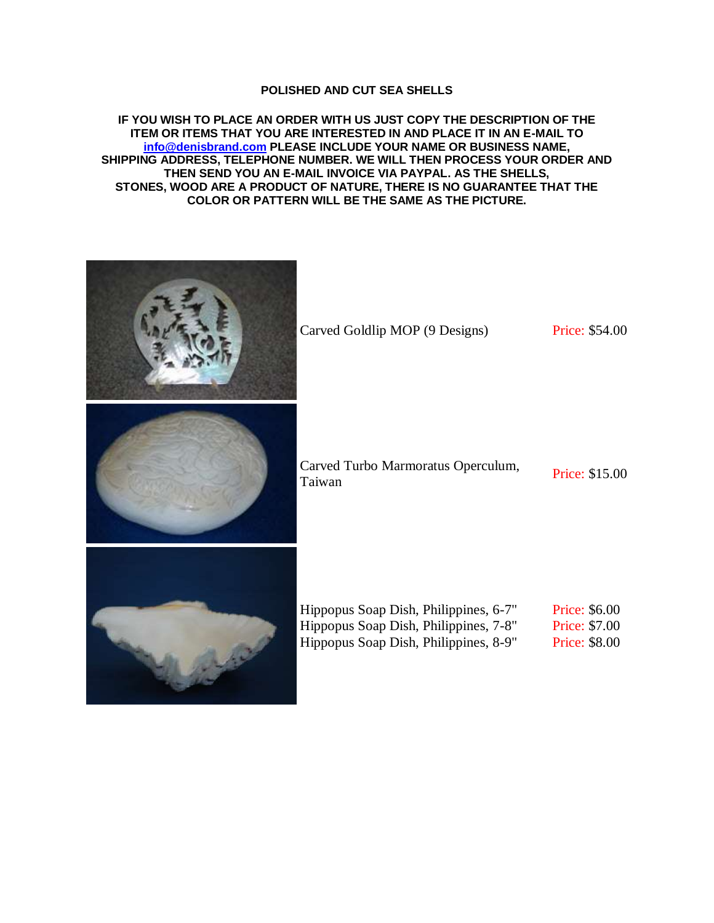## **POLISHED AND CUT SEA SHELLS**

**IF YOU WISH TO PLACE AN ORDER WITH US JUST COPY THE DESCRIPTION OF THE ITEM OR ITEMS THAT YOU ARE INTERESTED IN AND PLACE IT IN AN E-MAIL TO [info@denisbrand.com](mailto:info@denisbrand.com) PLEASE INCLUDE YOUR NAME OR BUSINESS NAME, SHIPPING ADDRESS, TELEPHONE NUMBER. WE WILL THEN PROCESS YOUR ORDER AND THEN SEND YOU AN E-MAIL INVOICE VIA PAYPAL. AS THE SHELLS, STONES, WOOD ARE A PRODUCT OF NATURE, THERE IS NO GUARANTEE THAT THE COLOR OR PATTERN WILL BE THE SAME AS THE PICTURE.**

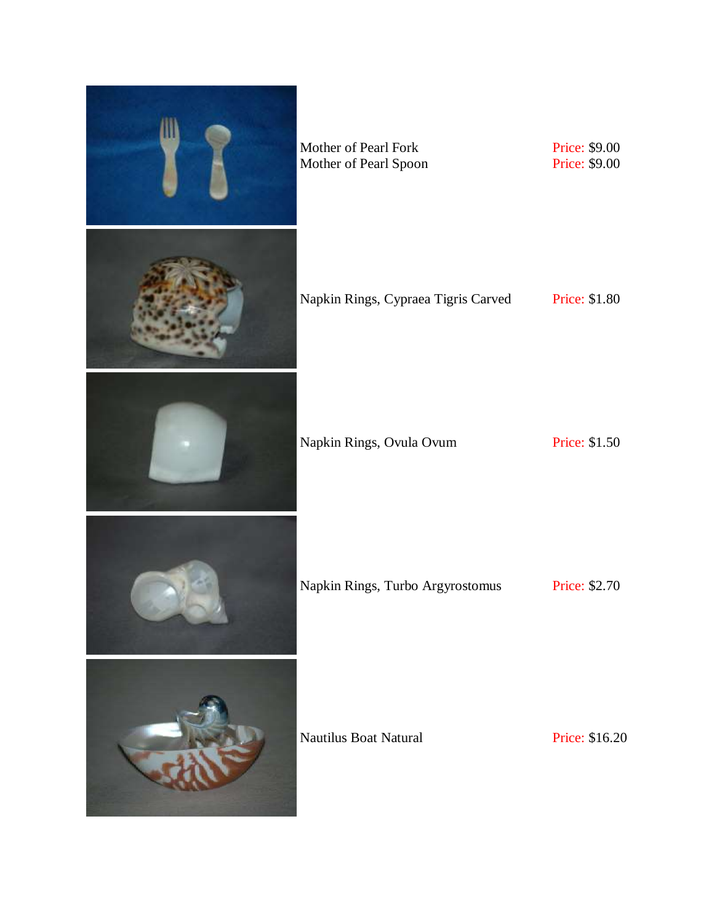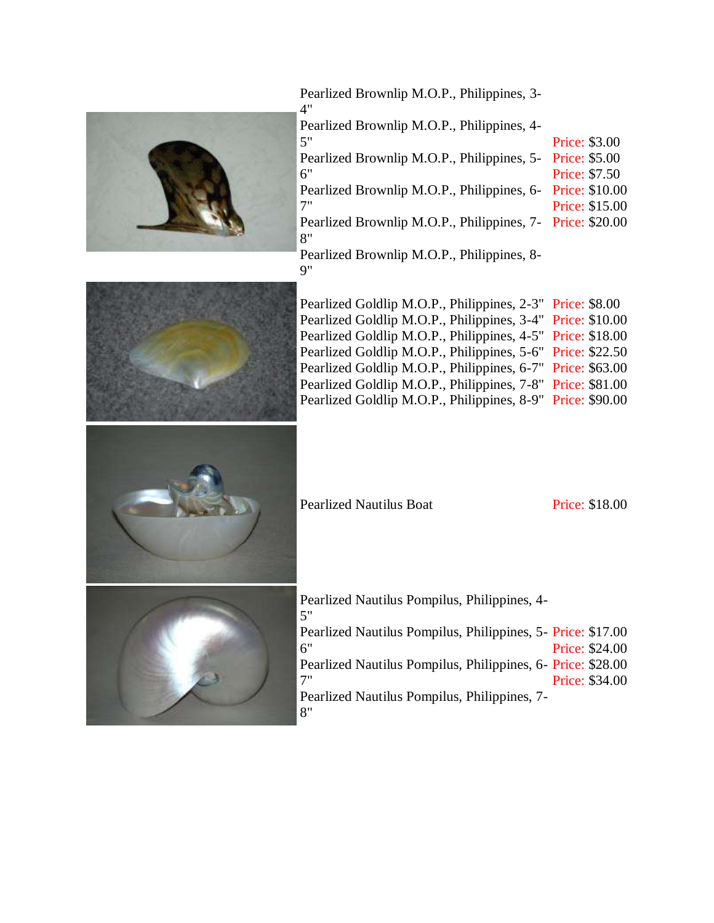

6"

7"

Pearlized Brownlip M.O.P., Philippines, 3- 4"

Pearlized Brownlip M.O.P., Philippines, 4-

5" Pearlized Brownlip M.O.P., Philippines, 5- Price: \$5.00 Price: \$3.00

Price: \$7.50

Pearlized Brownlip M.O.P., Philippines, 6- Price: \$10.00

Price: \$15.00

Pearlized Brownlip M.O.P., Philippines, 7- Price: \$20.00 8"

Pearlized Brownlip M.O.P., Philippines, 8- 9"



Pearlized Goldlip M.O.P., Philippines, 2-3" Price: \$8.00 Pearlized Goldlip M.O.P., Philippines, 3-4" Price: \$10.00 Pearlized Goldlip M.O.P., Philippines, 4-5" Price: \$18.00 Pearlized Goldlip M.O.P., Philippines, 5-6" Price: \$22.50 Pearlized Goldlip M.O.P., Philippines, 6-7" Price: \$63.00 Pearlized Goldlip M.O.P., Philippines, 7-8" Price: \$81.00 Pearlized Goldlip M.O.P., Philippines, 8-9" Price: \$90.00

Pearlized Nautilus Boat Price: \$18.00



Pearlized Nautilus Pompilus, Philippines, 4-

| Pearlized Nautilus Pompilus, Philippines, 5- Price: \$17.00 |  |                |
|-------------------------------------------------------------|--|----------------|
| 6"                                                          |  | Price: \$24.00 |
| Pearlized Nautilus Pompilus, Philippines, 6- Price: \$28.00 |  |                |
| 7"                                                          |  | Price: \$34.00 |
| Pearlized Nautilus Pompilus, Philippines, 7-                |  |                |
| 8"                                                          |  |                |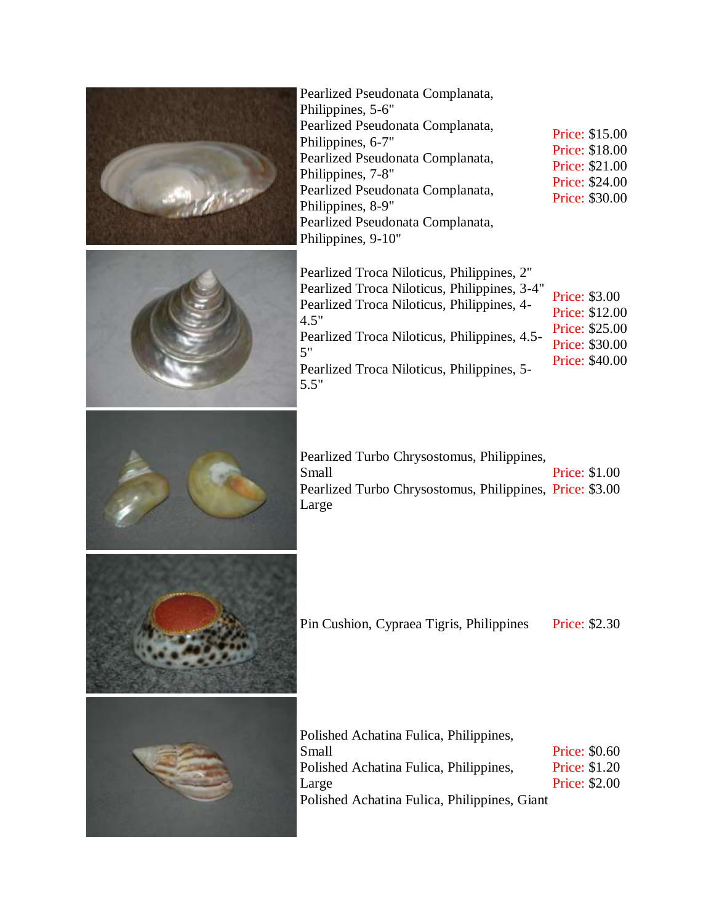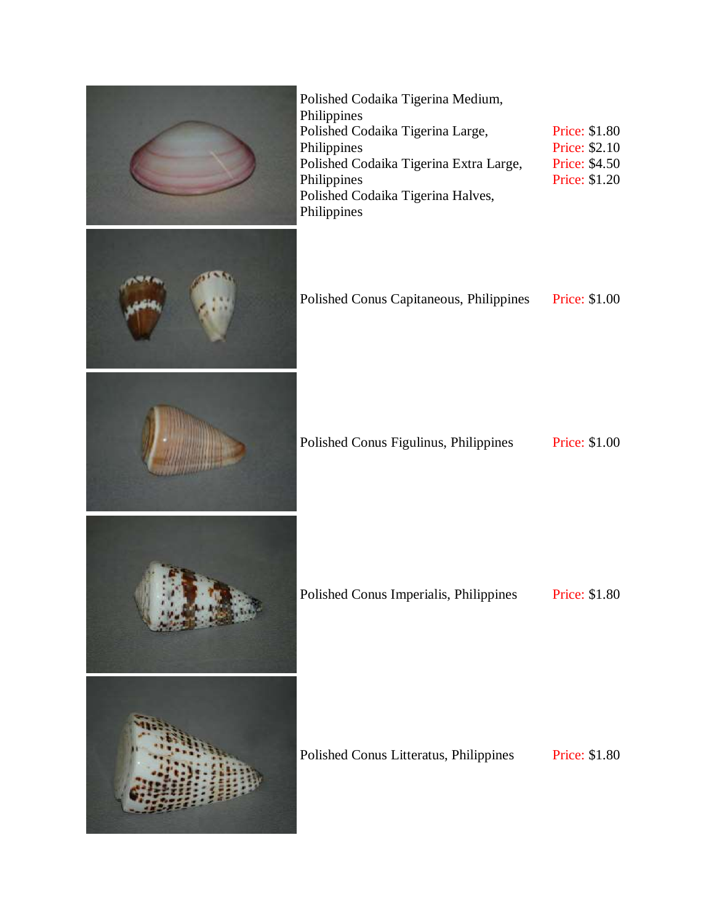| Polished Codaika Tigerina Medium,<br>Philippines<br>Polished Codaika Tigerina Large,<br>Philippines<br>Polished Codaika Tigerina Extra Large,<br>Philippines<br>Polished Codaika Tigerina Halves,<br>Philippines | Price: \$1.80<br>Price: \$2.10<br>Price: \$4.50<br>Price: \$1.20 |
|------------------------------------------------------------------------------------------------------------------------------------------------------------------------------------------------------------------|------------------------------------------------------------------|
| Polished Conus Capitaneous, Philippines                                                                                                                                                                          | Price: \$1.00                                                    |
| Polished Conus Figulinus, Philippines                                                                                                                                                                            | <b>Price: \$1.00</b>                                             |
| Polished Conus Imperialis, Philippines                                                                                                                                                                           | Price: \$1.80                                                    |
| Polished Conus Litteratus, Philippines                                                                                                                                                                           | <b>Price: \$1.80</b>                                             |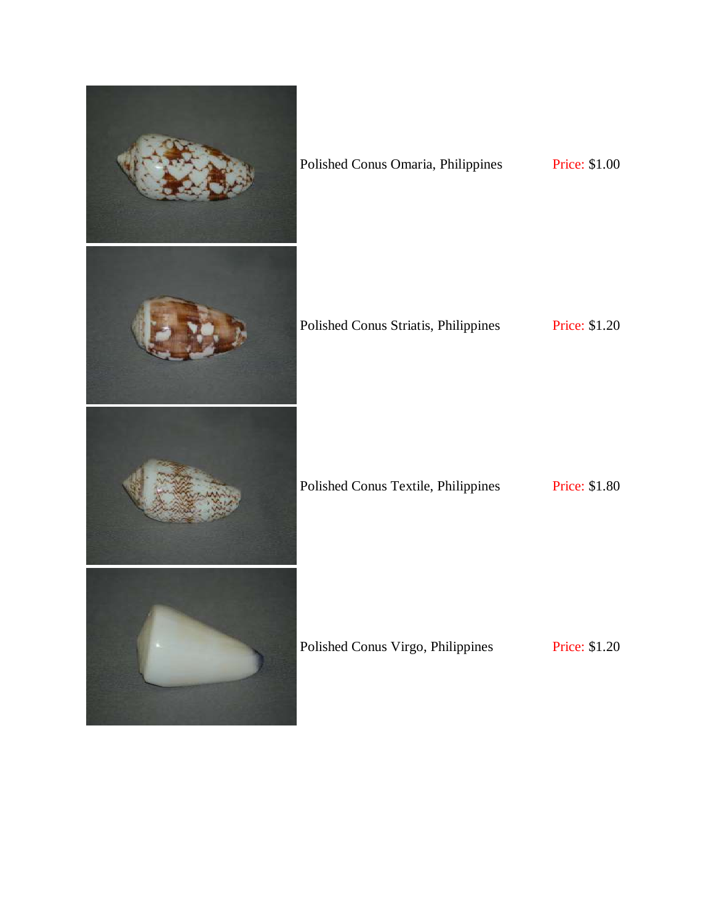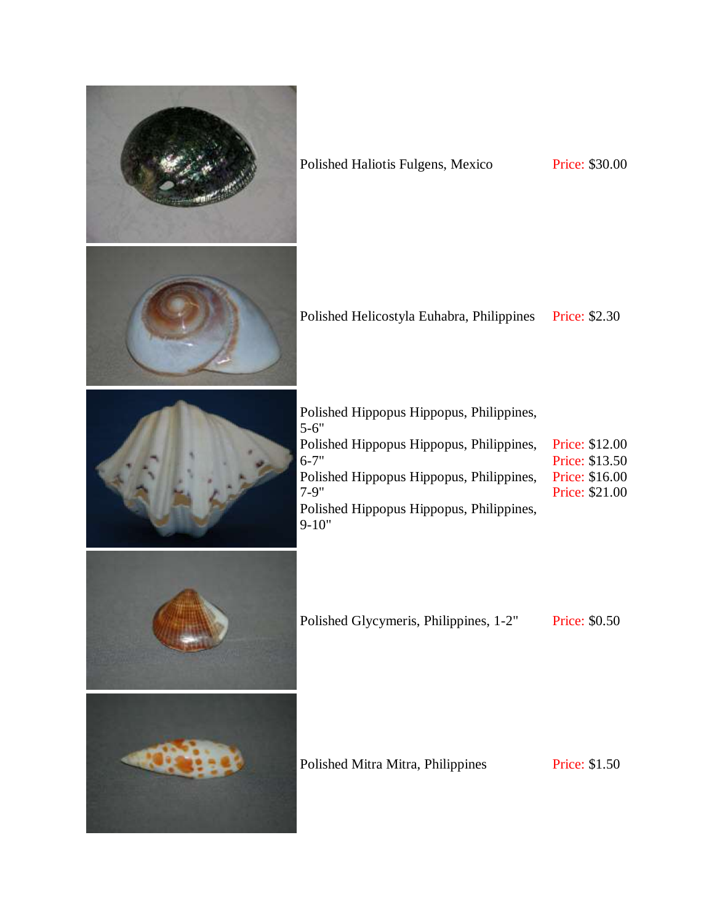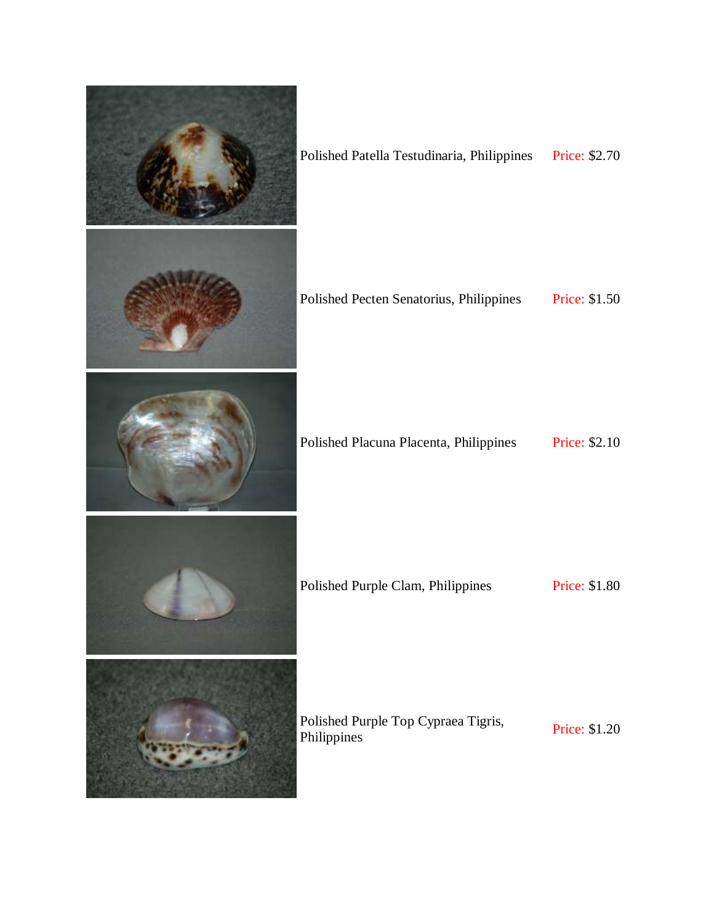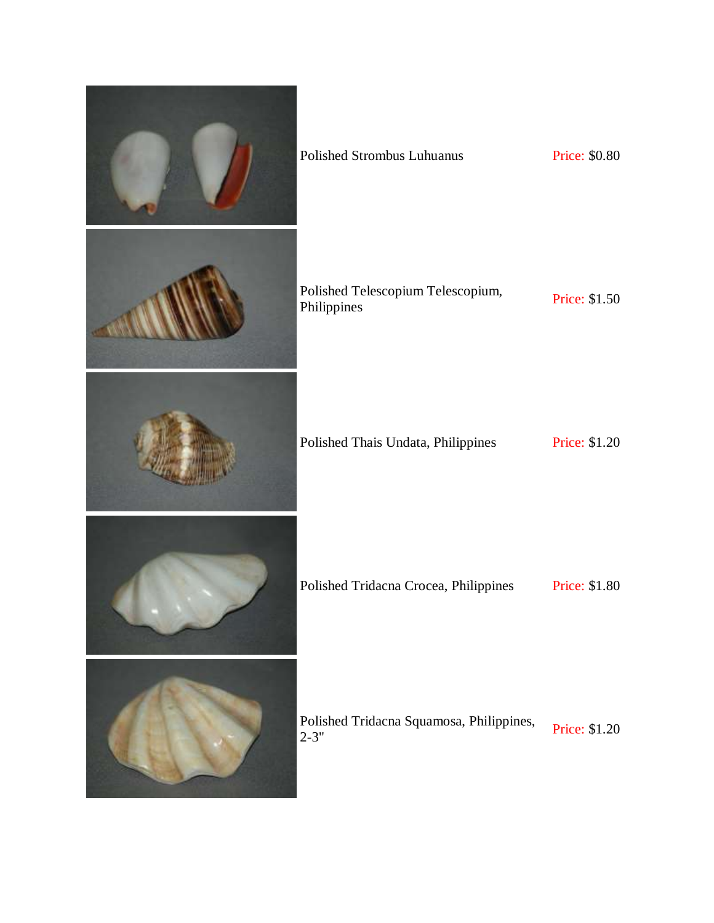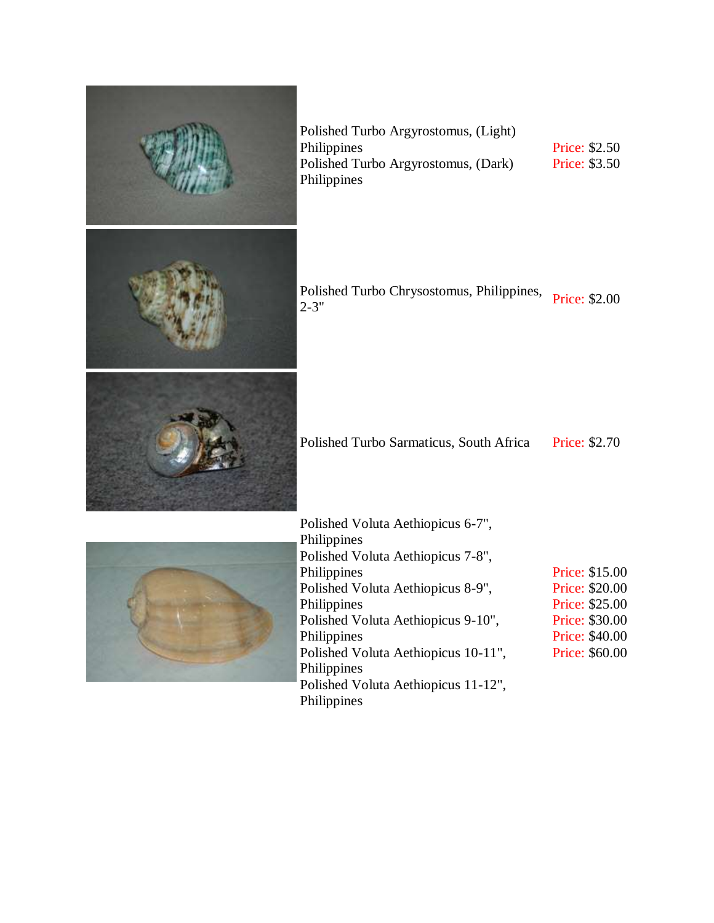

Polished Turbo Argyrostomus, (Light) Philippines Polished Turbo Argyrostomus, (Dark) Philippines

Price: \$2.50 Price: \$3.50

Polished Turbo Chrysostomus, Philippines, Price: \$2.00<br>2-3"

Polished Turbo Sarmaticus, South Africa Price: \$2.70

| Polished Voluta Aethiopicus 6-7",   |                |
|-------------------------------------|----------------|
| Philippines                         |                |
| Polished Voluta Aethiopicus 7-8",   |                |
| Philippines                         | Price: \$15.00 |
| Polished Voluta Aethiopicus 8-9",   | Price: \$20.00 |
| Philippines                         | Price: \$25.00 |
| Polished Voluta Aethiopicus 9-10",  | Price: \$30.00 |
| Philippines                         | Price: \$40.00 |
| Polished Voluta Aethiopicus 10-11", | Price: \$60.00 |
| Philippines                         |                |
| Polished Voluta Aethiopicus 11-12", |                |
| Philippines                         |                |
|                                     |                |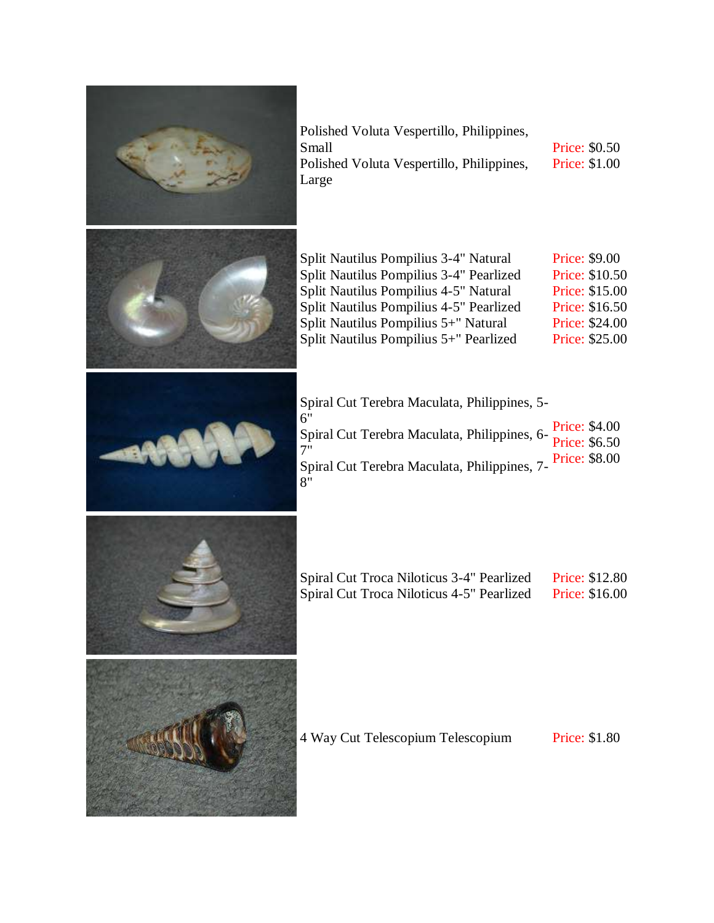

| Polished Voluta Vespertillo, Philippines, |                      |
|-------------------------------------------|----------------------|
| Small                                     | <b>Price: \$0.50</b> |
| Polished Voluta Vespertillo, Philippines, | <b>Price: \$1.00</b> |
| Large                                     |                      |
|                                           |                      |

| Split Nautilus Pompilius 3-4" Natural   | Price: \$9.00  |
|-----------------------------------------|----------------|
| Split Nautilus Pompilius 3-4" Pearlized | Price: \$10.50 |
| Split Nautilus Pompilius 4-5" Natural   | Price: \$15.00 |
| Split Nautilus Pompilius 4-5" Pearlized | Price: \$16.50 |
| Split Nautilus Pompilius 5+" Natural    | Price: \$24.00 |
| Split Nautilus Pompilius 5+" Pearlized  | Price: \$25.00 |
|                                         |                |

| Spiral Cut Terebra Maculata, Philippines, 5-                          |  |
|-----------------------------------------------------------------------|--|
| 6"<br>Spiral Cut Terebra Maculata, Philippines, 6-Price: \$4.00<br>7" |  |
| 7"<br>Spiral Cut Terebra Maculata, Philippines, 7-Price: \$8.00<br>8" |  |



| Spiral Cut Troca Niloticus 3-4" Pearlized | <b>Price: \$12.80</b> |
|-------------------------------------------|-----------------------|
| Spiral Cut Troca Niloticus 4-5" Pearlized | <b>Price: \$16.00</b> |



4 Way Cut Telescopium Telescopium Price: \$1.80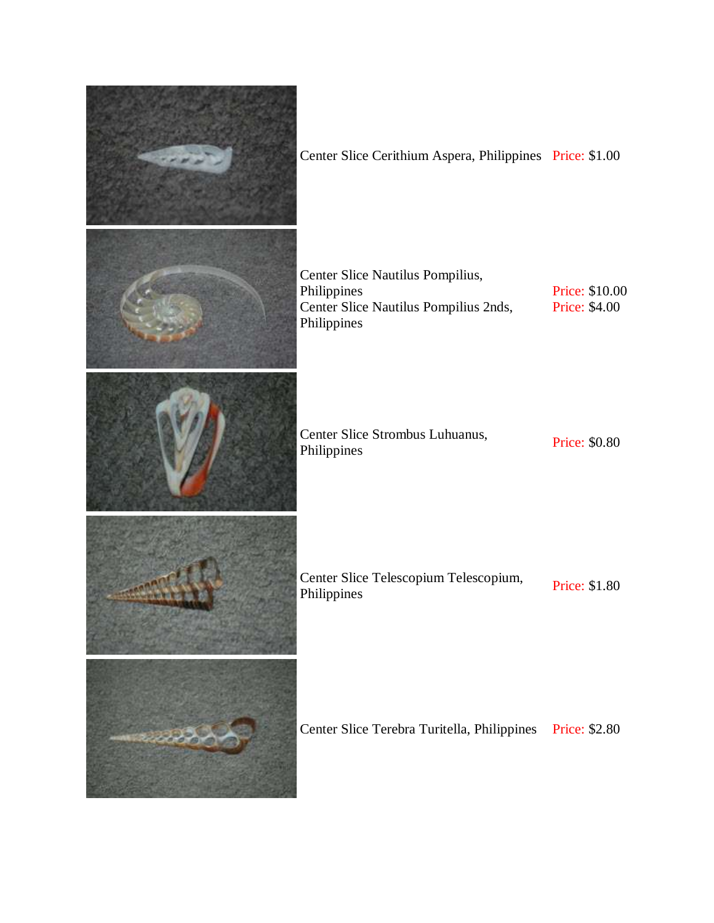| Center Slice Cerithium Aspera, Philippines Price: \$1.00                                                |                                 |
|---------------------------------------------------------------------------------------------------------|---------------------------------|
| Center Slice Nautilus Pompilius,<br>Philippines<br>Center Slice Nautilus Pompilius 2nds,<br>Philippines | Price: \$10.00<br>Price: \$4.00 |
| Center Slice Strombus Luhuanus,<br>Philippines                                                          | Price: \$0.80                   |
| Center Slice Telescopium Telescopium,<br>Philippines                                                    | Price: \$1.80                   |
| Center Slice Terebra Turitella, Philippines                                                             | Price: \$2.80                   |